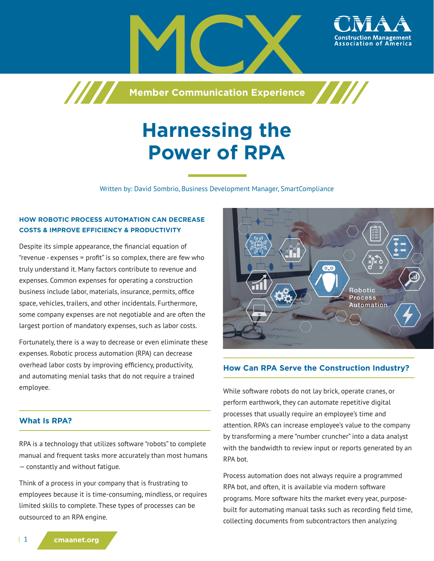

**Member Communication Experience**

# **Harnessing the Power of RPA**

Written by: David Sombrio, Business Development Manager, SmartCompliance

#### **HOW ROBOTIC PROCESS AUTOMATION CAN DECREASE COSTS & IMPROVE EFFICIENCY & PRODUCTIVITY**

7777

Despite its simple appearance, the financial equation of "revenue - expenses = profit" is so complex, there are few who truly understand it. Many factors contribute to revenue and expenses. Common expenses for operating a construction business include labor, materials, insurance, permits, office space, vehicles, trailers, and other incidentals. Furthermore, some company expenses are not negotiable and are often the largest portion of mandatory expenses, such as labor costs.

Fortunately, there is a way to decrease or even eliminate these expenses. Robotic process automation (RPA) can decrease overhead labor costs by improving efficiency, productivity, and automating menial tasks that do not require a trained employee.

# $\overline{\circ}$ . Robotic **Process** Automation

## **How Can RPA Serve the Construction Industry?**

While software robots do not lay brick, operate cranes, or perform earthwork, they can automate repetitive digital processes that usually require an employee's time and attention. RPA's can increase employee's value to the company by transforming a mere "number cruncher" into a data analyst with the bandwidth to review input or reports generated by an RPA bot.

Process automation does not always require a programmed RPA bot, and often, it is available via modern software programs. More software hits the market every year, purposebuilt for automating manual tasks such as recording field time, collecting documents from subcontractors then analyzing

#### **What Is RPA?**

RPA is a technology that utilizes software "robots" to complete manual and frequent tasks more accurately than most humans — constantly and without fatigue.

Think of a process in your company that is frustrating to employees because it is time-consuming, mindless, or requires limited skills to complete. These types of processes can be outsourced to an RPA engine.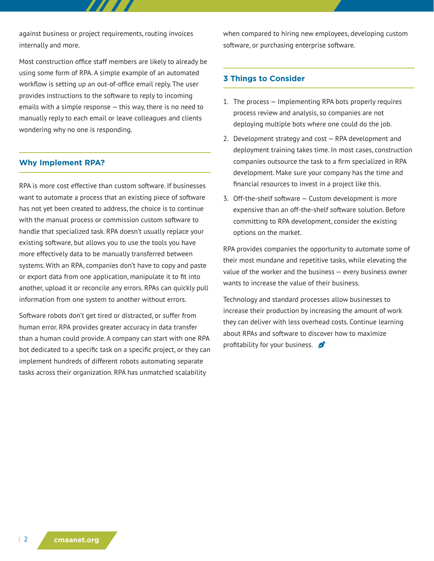against business or project requirements, routing invoices internally and more.

Most construction office staff members are likely to already be using some form of RPA. A simple example of an automated workflow is setting up an out-of-office email reply. The user provides instructions to the software to reply to incoming emails with a simple response — this way, there is no need to manually reply to each email or leave colleagues and clients wondering why no one is responding.

#### **Why Implement RPA?**

RPA is more cost effective than custom software. If businesses want to automate a process that an existing piece of software has not yet been created to address, the choice is to continue with the manual process or commission custom software to handle that specialized task. RPA doesn't usually replace your existing software, but allows you to use the tools you have more effectively data to be manually transferred between systems. With an RPA, companies don't have to copy and paste or export data from one application, manipulate it to fit into another, upload it or reconcile any errors. RPAs can quickly pull information from one system to another without errors.

Software robots don't get tired or distracted, or suffer from human error. RPA provides greater accuracy in data transfer than a human could provide. A company can start with one RPA bot dedicated to a specific task on a specific project, or they can implement hundreds of different robots automating separate tasks across their organization. RPA has unmatched scalability

when compared to hiring new employees, developing custom software, or purchasing enterprise software.

#### **3 Things to Consider**

- 1. The process Implementing RPA bots properly requires process review and analysis, so companies are not deploying multiple bots where one could do the job.
- 2. Development strategy and cost RPA development and deployment training takes time. In most cases, construction companies outsource the task to a firm specialized in RPA development. Make sure your company has the time and financial resources to invest in a project like this.
- 3. Off-the-shelf software Custom development is more expensive than an off-the-shelf software solution. Before committing to RPA development, consider the existing options on the market.

RPA provides companies the opportunity to automate some of their most mundane and repetitive tasks, while elevating the value of the worker and the business — every business owner wants to increase the value of their business.

Technology and standard processes allow businesses to increase their production by increasing the amount of work they can deliver with less overhead costs. Continue learning about RPAs and software to discover how to maximize profitability for your business.  $\mathcal{L}$